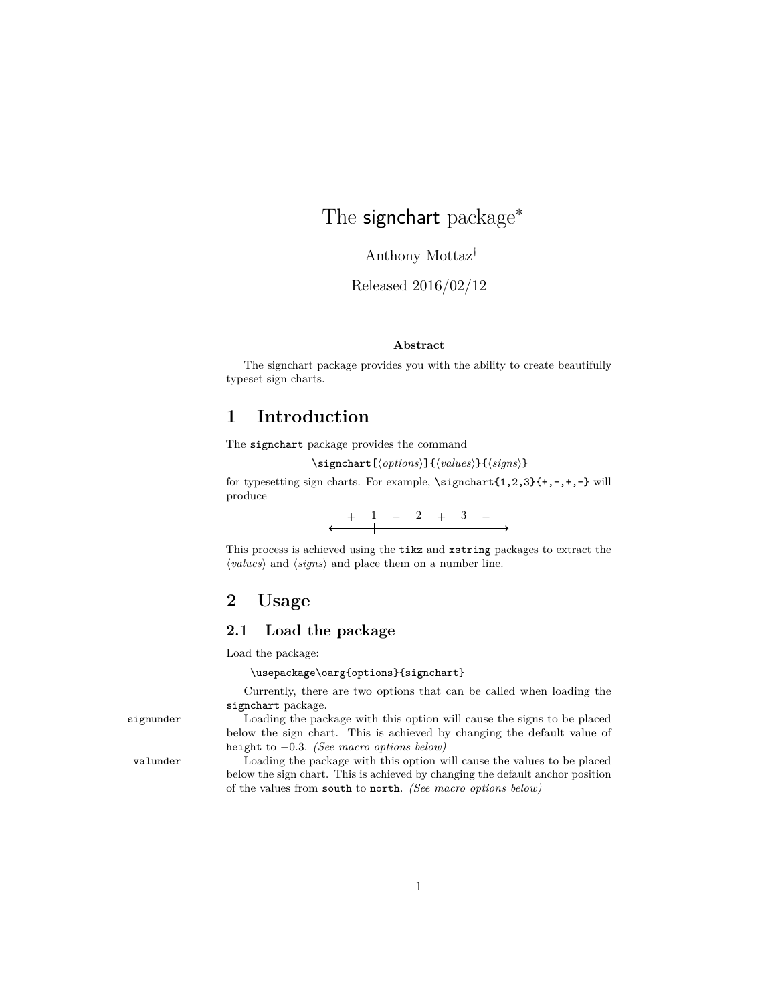# The signchart package<sup>\*</sup>

Anthony Mottaz†

Released 2016/02/12

#### **Abstract**

The signchart package provides you with the ability to create beautifully typeset sign charts.

### **1 Introduction**

The signchart package provides the command

\signchart[ $\langle options \rangle$ ]{ $\langle values \rangle$ }{ $\langle signs \rangle$ }

for typesetting sign charts. For example, \signchart{1,2,3}{+,-,+,-} will produce

This process is achieved using the tikz and xstring packages to extract the  $\langle values \rangle$  and  $\langle signs \rangle$  and place them on a number line.

### **2 Usage**

#### **2.1 Load the package**

Load the package:

\usepackage\oarg{options}{signchart}

<span id="page-0-1"></span><span id="page-0-0"></span>Currently, there are two options that can be called when loading the signchart package.

signunder Loading the package with this option will cause the signs to be placed below the sign chart. This is achieved by changing the default value of height to −0*.*3. *(See macro options below)*

valunder Loading the package with this option will cause the values to be placed below the sign chart. This is achieved by changing the default anchor position of the values from south to north. *(See macro options below)*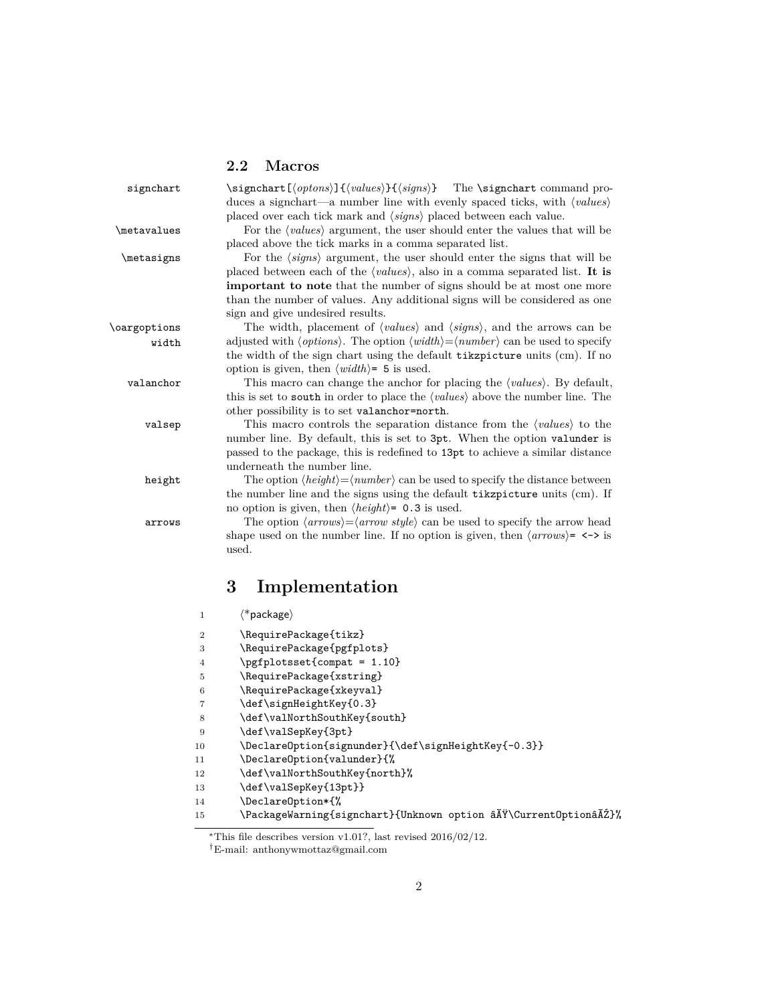### <span id="page-1-20"></span><span id="page-1-17"></span><span id="page-1-14"></span><span id="page-1-11"></span><span id="page-1-5"></span><span id="page-1-4"></span><span id="page-1-3"></span><span id="page-1-2"></span><span id="page-1-0"></span>**2.2 Macros**

| signchart    |                | \signchart [\lapset] {\langle values} } {\lapsets}} The \signchart command pro-<br>duces a sign chart—a number line with evenly spaced ticks, with $\langle values \rangle$ |
|--------------|----------------|-----------------------------------------------------------------------------------------------------------------------------------------------------------------------------|
|              |                | placed over each tick mark and $\langle signs \rangle$ placed between each value.                                                                                           |
| \metavalues  |                | For the $\langle values \rangle$ argument, the user should enter the values that will be                                                                                    |
|              |                | placed above the tick marks in a comma separated list.                                                                                                                      |
| \metasigns   |                | For the $\langle signs\rangle$ argument, the user should enter the signs that will be                                                                                       |
|              |                | placed between each of the $\langle values \rangle$ , also in a comma separated list. It is                                                                                 |
|              |                | <b>important to note</b> that the number of signs should be at most one more                                                                                                |
|              |                | than the number of values. Any additional signs will be considered as one                                                                                                   |
|              |                | sign and give undesired results.                                                                                                                                            |
| \oargoptions |                | The width, placement of $\langle values \rangle$ and $\langle signs \rangle$ , and the arrows can be                                                                        |
| width        |                | adjusted with $\langle options \rangle$ . The option $\langle width \rangle = \langle number \rangle$ can be used to specify                                                |
|              |                | the width of the sign chart using the default tikzpicture units (cm). If no                                                                                                 |
|              |                | option is given, then $\langle width \rangle = 5$ is used.                                                                                                                  |
| valanchor    |                | This macro can change the anchor for placing the $\langle values \rangle$ . By default,                                                                                     |
|              |                | this is set to <b>south</b> in order to place the $\langle values \rangle$ above the number line. The                                                                       |
|              |                | other possibility is to set valanchor=north.                                                                                                                                |
| valsep       |                | This macro controls the separation distance from the $\langle values \rangle$ to the                                                                                        |
|              |                | number line. By default, this is set to 3pt. When the option valunder is                                                                                                    |
|              |                | passed to the package, this is redefined to 13pt to achieve a similar distance                                                                                              |
|              |                | underneath the number line.                                                                                                                                                 |
| height       |                | The option $\langle height \rangle = \langle number \rangle$ can be used to specify the distance between                                                                    |
|              |                | the number line and the signs using the default tikzpicture units (cm). If                                                                                                  |
|              |                | no option is given, then $\langle height \rangle = 0.3$ is used.                                                                                                            |
| arrows       |                | The option $\langle arrows\rangle = \langle arrow \ style{1} \rangle$ can be used to specify the arrow head                                                                 |
|              |                | shape used on the number line. If no option is given, then $\langle \text{arrows} \rangle = \langle -\rangle$ is                                                            |
|              |                | used.                                                                                                                                                                       |
|              |                | 3<br>Implementation                                                                                                                                                         |
|              | $\,1$          | $\langle$ *package $\rangle$                                                                                                                                                |
|              |                |                                                                                                                                                                             |
|              | $\overline{2}$ | \RequirePackage{tikz}                                                                                                                                                       |
|              | 3              | \RequirePackage{pgfplots}                                                                                                                                                   |
|              | 4              | \pgfplotsset{compat = 1.10}                                                                                                                                                 |
|              | 5              | \RequirePackage{xstring}                                                                                                                                                    |
|              | 6              | \RequirePackage{xkeyval}                                                                                                                                                    |
|              | 7              | \def\signHeightKey{0.3}                                                                                                                                                     |
|              | 8              | \def\valNorthSouthKey{south}                                                                                                                                                |
|              | 9              | \def\valSepKey{3pt}                                                                                                                                                         |
|              | 10             | \Declare0ption{signunder}{\def\signHeightKey{-0.3}}                                                                                                                         |
|              | 11             | \Declare0ption{valunder}{%                                                                                                                                                  |
|              | 12             | \def\valNorthSouthKey{north}%                                                                                                                                               |
|              | 13             | \def\valSepKey{13pt}}                                                                                                                                                       |

<span id="page-1-19"></span><span id="page-1-18"></span><span id="page-1-16"></span><span id="page-1-15"></span><span id="page-1-13"></span><span id="page-1-12"></span><span id="page-1-10"></span><span id="page-1-9"></span><span id="page-1-8"></span><span id="page-1-7"></span><span id="page-1-1"></span>14 \DeclareOption\*{%

<span id="page-1-6"></span><sup>15 \</sup>PackageWarning{signchart}{Unknown option â $\tilde{A}$ Y\CurrentOptionâ $\tilde{A}$ Z}%

<sup>∗</sup>This file describes version v1.01?, last revised 2016/02/12.

<sup>†</sup>E-mail: anthonywmottaz@gmail.com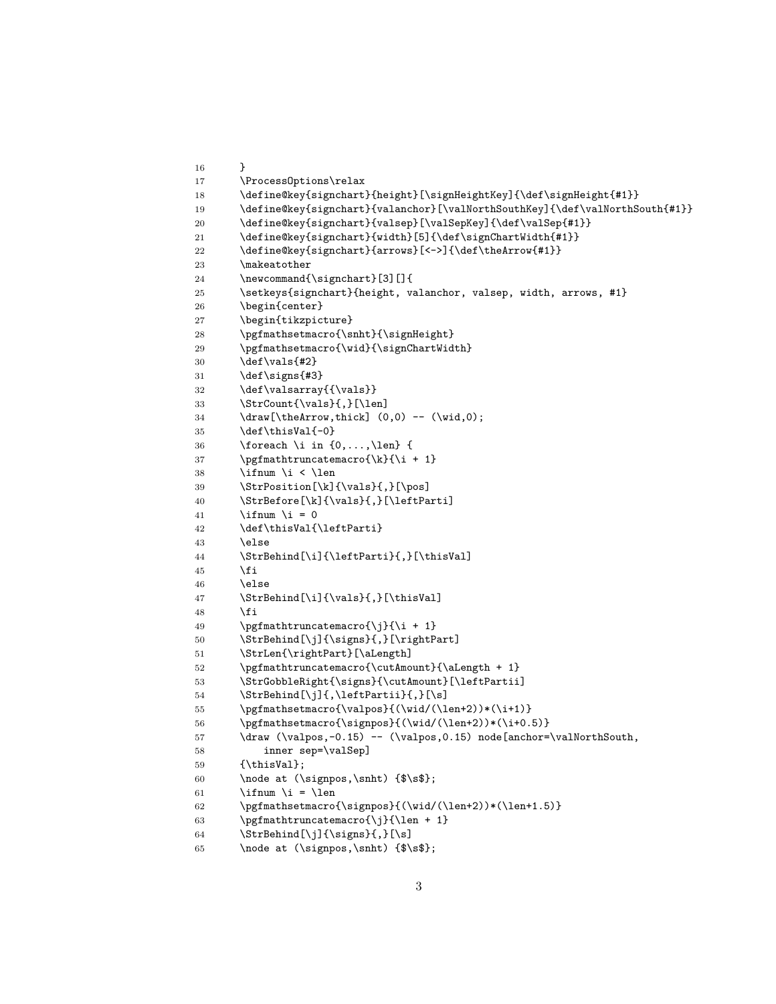```
16 }
17 \ProcessOptions\relax
18 \define@key{signchart}{height}[\signHeightKey]{\def\signHeight{#1}}
19 \define@key{signchart}{valanchor}[\valNorthSouthKey]{\def\valNorthSouth{#1}}
20 \define@key{signchart}{valsep}[\valSepKey]{\def\valSep{#1}}
21 \define@key{signchart}{width}[5]{\def\signChartWidth{#1}}
22 \define@key{signchart}{arrows}[<->]{\def\theArrow{#1}}
23 \makeatother
24 \newcommand{\signchart}[3][]{
25 \setkeys{signchart}{height, valanchor, valsep, width, arrows, #1}
26 \begin{center}
27 \begin{tikzpicture}
28 \pgfmathsetmacro{\snht}{\signHeight}
29 \pgfmathsetmacro{\wid}{\signChartWidth}
30 \det\vals {#2}
31 \def\signs{#3}
32 \def\valsarray{{\vals}}
33 \StrCount{\vals}{,}34 \draw[\theArrow,thick] (0,0) -- (\wid,0);
35 \text{def\thisVal}(-0)36 \foreach \i in \{0,\ldots,\text{len}\} {
37 \pgfmathtruncatemacro{\k}{i + 1}38 \iintnum \ i < \len39 \StrPosition[\k]{\vals}{,}[\pos]
40 \StrBefore[\k]{\vals}{,}[\leftParti]
41 \iint_{\mathbb{R}} 4 = 042 \def\thisVal{\leftParti}
43 \else
44 \StrBehind[\i]{\leftParti}{,}[\thisVal]
45 \fi
46 \else
47 \StrBehind[\i]{\vals}{,}[\thisVal]
48 \fi
49 \pgfmathtruncatemacro{\j}{\i + 1}
50 \StrBehind[\j]{\signs}{,}[\rightPart]
51 \StrLen{\rightPart}[\aLength]
52 \pgfmathtruncatemacro{\cutAmount}{\aLength + 1}
53 \StrGobbleRight{\signs}{\cutAmount}[\leftPartii]
54 \StrBehind[\j]{,\leftPartii}{,}[\s]
55 \pgfmathsetmacro{\valpos}{(\wid/(\len+2))*(\i+1)}
56 \pgfmathsetmacro{\signpos}{(\wid/(\len+2))*(\i+0.5)}
57 \draw (\valpos,-0.15) -- (\valpos,0.15) node[anchor=\valNorthSouth,
58 inner sep=\valSep]
59 {\thisVal};
60 \node at (\signpos,\snht) {$\s$};
61 \iint_{\mathbb{R}} \ifnum \i = \len
62 \pgfmathsetmacro{\signpos}{(\wid/(\len+2))*(\len+1.5)}
63 \pgfmathtruncatemacro{\j}{\len + 1}
64 \StrBehind[\j]{\signs}{,}[\s]
65 \node at (\signpos,\snht) {$\s$};
```